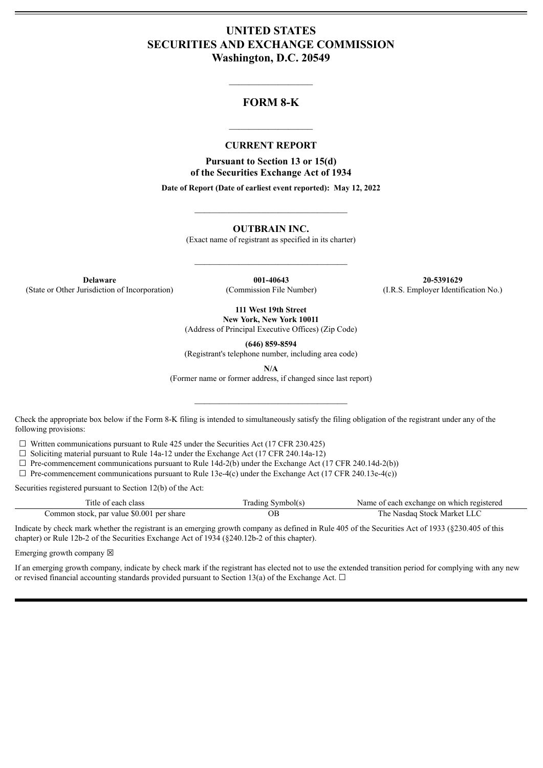# **UNITED STATES SECURITIES AND EXCHANGE COMMISSION Washington, D.C. 20549**

## **FORM 8-K**

 $\mathcal{L}=\mathcal{L}^{\mathcal{L}}$  , we have the set of the set of the set of the set of the set of the set of the set of the set of the set of the set of the set of the set of the set of the set of the set of the set of the set of th

#### **CURRENT REPORT**

 $\frac{1}{2}$  ,  $\frac{1}{2}$  ,  $\frac{1}{2}$  ,  $\frac{1}{2}$  ,  $\frac{1}{2}$  ,  $\frac{1}{2}$  ,  $\frac{1}{2}$ 

**Pursuant to Section 13 or 15(d) of the Securities Exchange Act of 1934**

**Date of Report (Date of earliest event reported): May 12, 2022**

 $\_$ 

**OUTBRAIN INC.**

(Exact name of registrant as specified in its charter)

 $\mathcal{L}_\text{max}$  and  $\mathcal{L}_\text{max}$  and  $\mathcal{L}_\text{max}$ 

**Delaware 001-40643 20-5391629** (State or Other Jurisdiction of Incorporation) (Commission File Number) (I.R.S. Employer Identification No.)

**111 West 19th Street New York, New York 10011**

(Address of Principal Executive Offices) (Zip Code)

**(646) 859-8594**

(Registrant's telephone number, including area code)

**N/A**

(Former name or former address, if changed since last report)

 $\mathcal{L}_\text{max}$  and  $\mathcal{L}_\text{max}$  and  $\mathcal{L}_\text{max}$ 

Check the appropriate box below if the Form 8-K filing is intended to simultaneously satisfy the filing obligation of the registrant under any of the following provisions:

 $\Box$  Written communications pursuant to Rule 425 under the Securities Act (17 CFR 230.425)

 $\Box$  Soliciting material pursuant to Rule 14a-12 under the Exchange Act (17 CFR 240.14a-12)

 $\Box$  Pre-commencement communications pursuant to Rule 14d-2(b) under the Exchange Act (17 CFR 240.14d-2(b))

 $\Box$  Pre-commencement communications pursuant to Rule 13e-4(c) under the Exchange Act (17 CFR 240.13e-4(c))

Securities registered pursuant to Section 12(b) of the Act:

| Title of each class                       | [rading Symbol(s) | Name of each exchange on which registered |
|-------------------------------------------|-------------------|-------------------------------------------|
| Common stock, par value \$0.001 per share |                   | The Nasdaq Stock Market LLC               |

Indicate by check mark whether the registrant is an emerging growth company as defined in Rule 405 of the Securities Act of 1933 (§230.405 of this chapter) or Rule 12b-2 of the Securities Exchange Act of 1934 (§240.12b-2 of this chapter).

Emerging growth company  $\boxtimes$ 

If an emerging growth company, indicate by check mark if the registrant has elected not to use the extended transition period for complying with any new or revised financial accounting standards provided pursuant to Section 13(a) of the Exchange Act.  $\Box$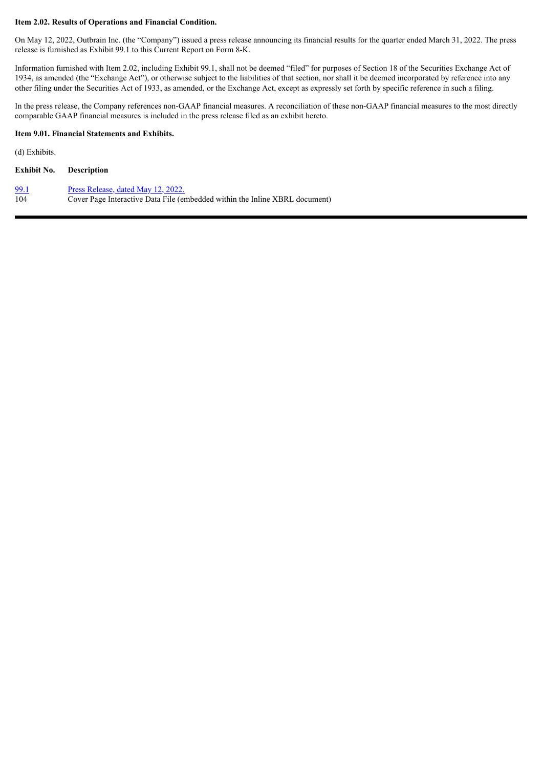#### **Item 2.02. Results of Operations and Financial Condition.**

On May 12, 2022, Outbrain Inc. (the "Company") issued a press release announcing its financial results for the quarter ended March 31, 2022. The press release is furnished as Exhibit 99.1 to this Current Report on Form 8-K.

Information furnished with Item 2.02, including Exhibit 99.1, shall not be deemed "filed" for purposes of Section 18 of the Securities Exchange Act of 1934, as amended (the "Exchange Act"), or otherwise subject to the liabilities of that section, nor shall it be deemed incorporated by reference into any other filing under the Securities Act of 1933, as amended, or the Exchange Act, except as expressly set forth by specific reference in such a filing.

In the press release, the Company references non-GAAP financial measures. A reconciliation of these non-GAAP financial measures to the most directly comparable GAAP financial measures is included in the press release filed as an exhibit hereto.

#### **Item 9.01. Financial Statements and Exhibits.**

(d) Exhibits.

| Exhibit No. | <b>Description</b> |
|-------------|--------------------|
|             |                    |

| <u>99.1</u> | Press Release, dated May 12, 2022.                                          |
|-------------|-----------------------------------------------------------------------------|
| 104         | Cover Page Interactive Data File (embedded within the Inline XBRL document) |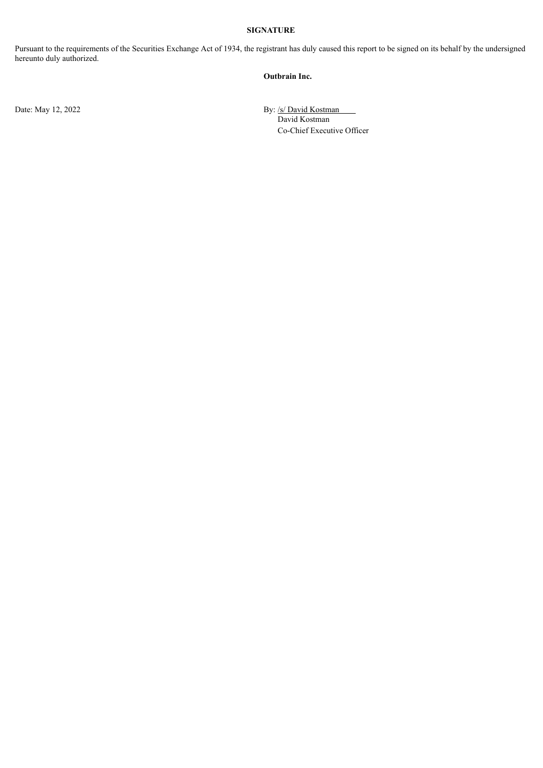#### **SIGNATURE**

Pursuant to the requirements of the Securities Exchange Act of 1934, the registrant has duly caused this report to be signed on its behalf by the undersigned hereunto duly authorized.

#### **Outbrain Inc.**

Date: May 12, 2022 By: /s/ David Kostman David Kostman Co-Chief Executive Officer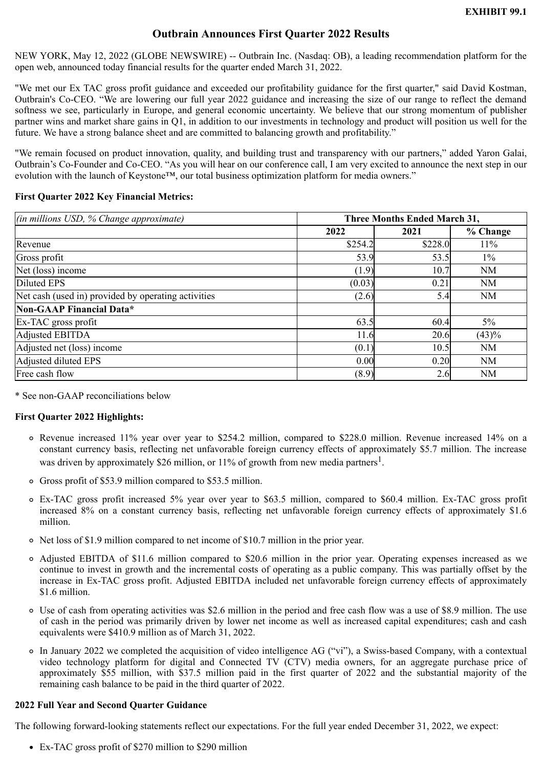# **Outbrain Announces First Quarter 2022 Results**

<span id="page-3-0"></span>NEW YORK, May 12, 2022 (GLOBE NEWSWIRE) -- Outbrain Inc. (Nasdaq: OB), a leading recommendation platform for the open web, announced today financial results for the quarter ended March 31, 2022.

"We met our Ex TAC gross profit guidance and exceeded our profitability guidance for the first quarter," said David Kostman, Outbrain's Co-CEO. "We are lowering our full year 2022 guidance and increasing the size of our range to reflect the demand softness we see, particularly in Europe, and general economic uncertainty. We believe that our strong momentum of publisher partner wins and market share gains in Q1, in addition to our investments in technology and product will position us well for the future. We have a strong balance sheet and are committed to balancing growth and profitability."

"We remain focused on product innovation, quality, and building trust and transparency with our partners," added Yaron Galai, Outbrain's Co-Founder and Co-CEO. "As you will hear on our conference call, I am very excited to announce the next step in our evolution with the launch of Keystone™, our total business optimization platform for media owners."

## **First Quarter 2022 Key Financial Metrics:**

| $(in$ millions USD, % Change approximate)           | <b>Three Months Ended March 31,</b> |         |          |  |
|-----------------------------------------------------|-------------------------------------|---------|----------|--|
|                                                     | 2022                                | 2021    | % Change |  |
| Revenue                                             | \$254.2                             | \$228.0 | $11\%$   |  |
| Gross profit                                        | 53.9                                | 53.5    | $1\%$    |  |
| Net (loss) income                                   | (1.9)                               | 10.7    | NM       |  |
| Diluted EPS                                         | (0.03)                              | 0.21    | NM       |  |
| Net cash (used in) provided by operating activities | (2.6)                               | 5.4     | NM       |  |
| Non-GAAP Financial Data*                            |                                     |         |          |  |
| Ex-TAC gross profit                                 | 63.5                                | 60.4    | 5%       |  |
| Adjusted EBITDA                                     | 11.6                                | 20.6    | (43)%    |  |
| Adjusted net (loss) income                          | (0.1)                               | 10.5    | NM       |  |
| Adjusted diluted EPS                                | 0.00                                | 0.20    | NM       |  |
| Free cash flow                                      | (8.9)                               | 2.6     | NM       |  |

\* See non-GAAP reconciliations below

### **First Quarter 2022 Highlights:**

- Revenue increased 11% year over year to \$254.2 million, compared to \$228.0 million. Revenue increased 14% on a constant currency basis, reflecting net unfavorable foreign currency effects of approximately \$5.7 million. The increase was driven by approximately \$26 million, or 11% of growth from new media partners<sup>1</sup>.
- Gross profit of \$53.9 million compared to \$53.5 million.
- Ex-TAC gross profit increased 5% year over year to \$63.5 million, compared to \$60.4 million. Ex-TAC gross profit increased 8% on a constant currency basis, reflecting net unfavorable foreign currency effects of approximately \$1.6 million.
- Net loss of \$1.9 million compared to net income of \$10.7 million in the prior year.
- Adjusted EBITDA of \$11.6 million compared to \$20.6 million in the prior year. Operating expenses increased as we continue to invest in growth and the incremental costs of operating as a public company. This was partially offset by the increase in Ex-TAC gross profit. Adjusted EBITDA included net unfavorable foreign currency effects of approximately \$1.6 million.
- Use of cash from operating activities was \$2.6 million in the period and free cash flow was a use of \$8.9 million. The use of cash in the period was primarily driven by lower net income as well as increased capital expenditures; cash and cash equivalents were \$410.9 million as of March 31, 2022.
- In January 2022 we completed the acquisition of video intelligence AG ("vi"), a Swiss-based Company, with a contextual video technology platform for digital and Connected TV (CTV) media owners, for an aggregate purchase price of approximately \$55 million, with \$37.5 million paid in the first quarter of 2022 and the substantial majority of the remaining cash balance to be paid in the third quarter of 2022.

### **2022 Full Year and Second Quarter Guidance**

The following forward-looking statements reflect our expectations. For the full year ended December 31, 2022, we expect:

Ex-TAC gross profit of \$270 million to \$290 million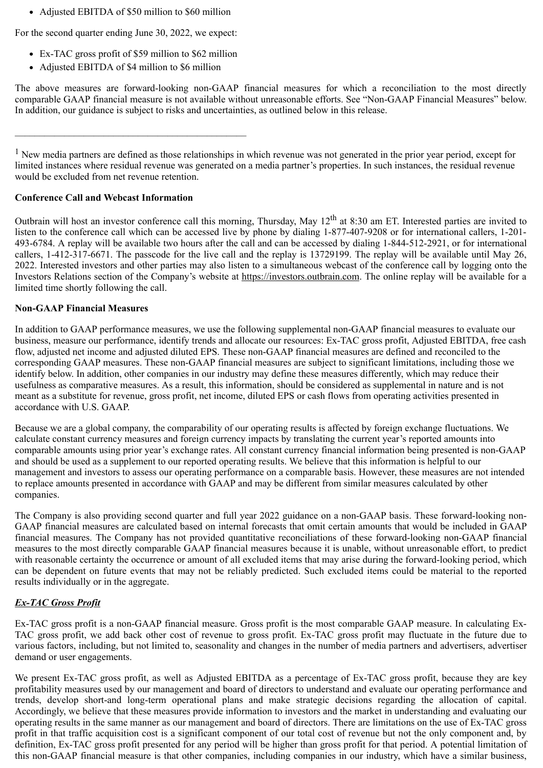• Adjusted EBITDA of \$50 million to \$60 million

For the second quarter ending June 30, 2022, we expect:

- Ex-TAC gross profit of \$59 million to \$62 million
- Adjusted EBITDA of \$4 million to \$6 million

\_\_\_\_\_\_\_\_\_\_\_\_\_\_\_\_\_\_\_\_\_\_\_\_\_\_\_\_\_\_\_\_\_\_\_\_\_\_\_\_\_\_\_\_\_\_\_

The above measures are forward-looking non-GAAP financial measures for which a reconciliation to the most directly comparable GAAP financial measure is not available without unreasonable efforts. See "Non-GAAP Financial Measures" below. In addition, our guidance is subject to risks and uncertainties, as outlined below in this release.

<sup>1</sup> New media partners are defined as those relationships in which revenue was not generated in the prior year period, except for limited instances where residual revenue was generated on a media partner's properties. In such instances, the residual revenue would be excluded from net revenue retention.

## **Conference Call and Webcast Information**

Outbrain will host an investor conference call this morning, Thursday, May 12<sup>th</sup> at 8:30 am ET. Interested parties are invited to listen to the conference call which can be accessed live by phone by dialing 1-877-407-9208 or for international callers, 1-201-493-6784. A replay will be available two hours after the call and can be accessed by dialing 1-844-512-2921, or for international callers, 1-412-317-6671. The passcode for the live call and the replay is 13729199. The replay will be available until May 26, 2022. Interested investors and other parties may also listen to a simultaneous webcast of the conference call by logging onto the Investors Relations section of the Company's website at https://investors.outbrain.com. The online replay will be available for a limited time shortly following the call.

## **Non-GAAP Financial Measures**

In addition to GAAP performance measures, we use the following supplemental non-GAAP financial measures to evaluate our business, measure our performance, identify trends and allocate our resources: Ex-TAC gross profit, Adjusted EBITDA, free cash flow, adjusted net income and adjusted diluted EPS. These non-GAAP financial measures are defined and reconciled to the corresponding GAAP measures. These non-GAAP financial measures are subject to significant limitations, including those we identify below. In addition, other companies in our industry may define these measures differently, which may reduce their usefulness as comparative measures. As a result, this information, should be considered as supplemental in nature and is not meant as a substitute for revenue, gross profit, net income, diluted EPS or cash flows from operating activities presented in accordance with U.S. GAAP.

Because we are a global company, the comparability of our operating results is affected by foreign exchange fluctuations. We calculate constant currency measures and foreign currency impacts by translating the current year's reported amounts into comparable amounts using prior year's exchange rates. All constant currency financial information being presented is non-GAAP and should be used as a supplement to our reported operating results. We believe that this information is helpful to our management and investors to assess our operating performance on a comparable basis. However, these measures are not intended to replace amounts presented in accordance with GAAP and may be different from similar measures calculated by other companies.

The Company is also providing second quarter and full year 2022 guidance on a non-GAAP basis. These forward-looking non-GAAP financial measures are calculated based on internal forecasts that omit certain amounts that would be included in GAAP financial measures. The Company has not provided quantitative reconciliations of these forward-looking non-GAAP financial measures to the most directly comparable GAAP financial measures because it is unable, without unreasonable effort, to predict with reasonable certainty the occurrence or amount of all excluded items that may arise during the forward-looking period, which can be dependent on future events that may not be reliably predicted. Such excluded items could be material to the reported results individually or in the aggregate.

## *Ex-TAC Gross Profit*

Ex-TAC gross profit is a non-GAAP financial measure. Gross profit is the most comparable GAAP measure. In calculating Ex-TAC gross profit, we add back other cost of revenue to gross profit. Ex-TAC gross profit may fluctuate in the future due to various factors, including, but not limited to, seasonality and changes in the number of media partners and advertisers, advertiser demand or user engagements.

We present Ex-TAC gross profit, as well as Adjusted EBITDA as a percentage of Ex-TAC gross profit, because they are key profitability measures used by our management and board of directors to understand and evaluate our operating performance and trends, develop short-and long-term operational plans and make strategic decisions regarding the allocation of capital. Accordingly, we believe that these measures provide information to investors and the market in understanding and evaluating our operating results in the same manner as our management and board of directors. There are limitations on the use of Ex-TAC gross profit in that traffic acquisition cost is a significant component of our total cost of revenue but not the only component and, by definition, Ex-TAC gross profit presented for any period will be higher than gross profit for that period. A potential limitation of this non-GAAP financial measure is that other companies, including companies in our industry, which have a similar business,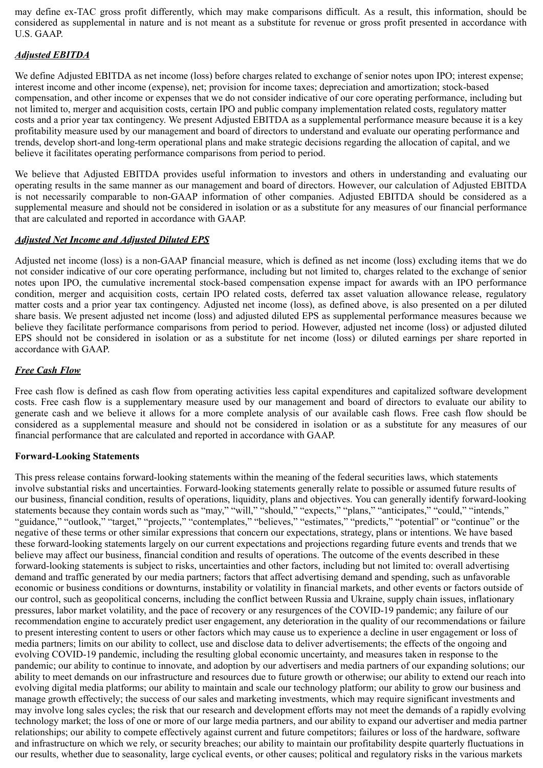may define ex-TAC gross profit differently, which may make comparisons difficult. As a result, this information, should be considered as supplemental in nature and is not meant as a substitute for revenue or gross profit presented in accordance with U.S. GAAP.

# *Adjusted EBITDA*

We define Adjusted EBITDA as net income (loss) before charges related to exchange of senior notes upon IPO; interest expense; interest income and other income (expense), net; provision for income taxes; depreciation and amortization; stock-based compensation, and other income or expenses that we do not consider indicative of our core operating performance, including but not limited to, merger and acquisition costs, certain IPO and public company implementation related costs, regulatory matter costs and a prior year tax contingency. We present Adjusted EBITDA as a supplemental performance measure because it is a key profitability measure used by our management and board of directors to understand and evaluate our operating performance and trends, develop short-and long-term operational plans and make strategic decisions regarding the allocation of capital, and we believe it facilitates operating performance comparisons from period to period.

We believe that Adjusted EBITDA provides useful information to investors and others in understanding and evaluating our operating results in the same manner as our management and board of directors. However, our calculation of Adjusted EBITDA is not necessarily comparable to non-GAAP information of other companies. Adjusted EBITDA should be considered as a supplemental measure and should not be considered in isolation or as a substitute for any measures of our financial performance that are calculated and reported in accordance with GAAP.

## *Adjusted Net Income and Adjusted Diluted EPS*

Adjusted net income (loss) is a non-GAAP financial measure, which is defined as net income (loss) excluding items that we do not consider indicative of our core operating performance, including but not limited to, charges related to the exchange of senior notes upon IPO, the cumulative incremental stock-based compensation expense impact for awards with an IPO performance condition, merger and acquisition costs, certain IPO related costs, deferred tax asset valuation allowance release, regulatory matter costs and a prior year tax contingency. Adjusted net income (loss), as defined above, is also presented on a per diluted share basis. We present adjusted net income (loss) and adjusted diluted EPS as supplemental performance measures because we believe they facilitate performance comparisons from period to period. However, adjusted net income (loss) or adjusted diluted EPS should not be considered in isolation or as a substitute for net income (loss) or diluted earnings per share reported in accordance with GAAP.

## *Free Cash Flow*

Free cash flow is defined as cash flow from operating activities less capital expenditures and capitalized software development costs. Free cash flow is a supplementary measure used by our management and board of directors to evaluate our ability to generate cash and we believe it allows for a more complete analysis of our available cash flows. Free cash flow should be considered as a supplemental measure and should not be considered in isolation or as a substitute for any measures of our financial performance that are calculated and reported in accordance with GAAP.

### **Forward-Looking Statements**

This press release contains forward-looking statements within the meaning of the federal securities laws, which statements involve substantial risks and uncertainties. Forward-looking statements generally relate to possible or assumed future results of our business, financial condition, results of operations, liquidity, plans and objectives. You can generally identify forward-looking statements because they contain words such as "may," "will," "should," "expects," "plans," "anticipates," "could," "intends," "guidance," "outlook," "target," "projects," "contemplates," "believes," "estimates," "predicts," "potential" or "continue" or the negative of these terms or other similar expressions that concern our expectations, strategy, plans or intentions. We have based these forward-looking statements largely on our current expectations and projections regarding future events and trends that we believe may affect our business, financial condition and results of operations. The outcome of the events described in these forward-looking statements is subject to risks, uncertainties and other factors, including but not limited to: overall advertising demand and traffic generated by our media partners; factors that affect advertising demand and spending, such as unfavorable economic or business conditions or downturns, instability or volatility in financial markets, and other events or factors outside of our control, such as geopolitical concerns, including the conflict between Russia and Ukraine, supply chain issues, inflationary pressures, labor market volatility, and the pace of recovery or any resurgences of the COVID-19 pandemic; any failure of our recommendation engine to accurately predict user engagement, any deterioration in the quality of our recommendations or failure to present interesting content to users or other factors which may cause us to experience a decline in user engagement or loss of media partners; limits on our ability to collect, use and disclose data to deliver advertisements; the effects of the ongoing and evolving COVID-19 pandemic, including the resulting global economic uncertainty, and measures taken in response to the pandemic; our ability to continue to innovate, and adoption by our advertisers and media partners of our expanding solutions; our ability to meet demands on our infrastructure and resources due to future growth or otherwise; our ability to extend our reach into evolving digital media platforms; our ability to maintain and scale our technology platform; our ability to grow our business and manage growth effectively; the success of our sales and marketing investments, which may require significant investments and may involve long sales cycles; the risk that our research and development efforts may not meet the demands of a rapidly evolving technology market; the loss of one or more of our large media partners, and our ability to expand our advertiser and media partner relationships; our ability to compete effectively against current and future competitors; failures or loss of the hardware, software and infrastructure on which we rely, or security breaches; our ability to maintain our profitability despite quarterly fluctuations in our results, whether due to seasonality, large cyclical events, or other causes; political and regulatory risks in the various markets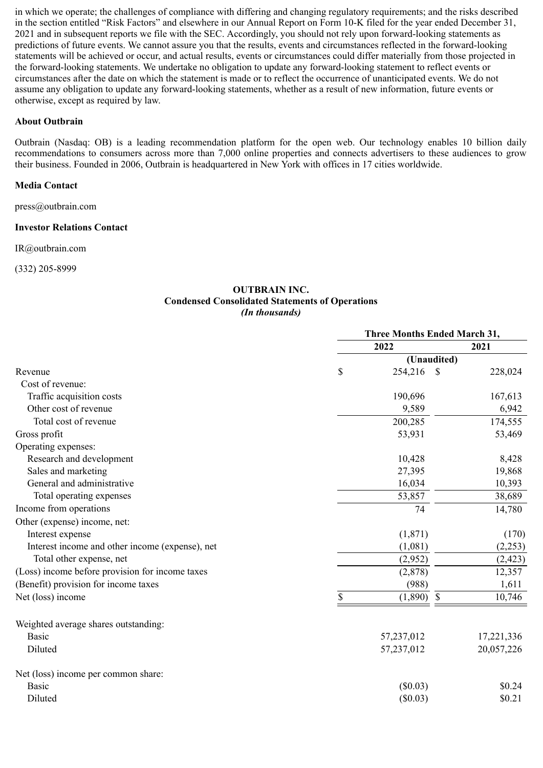in which we operate; the challenges of compliance with differing and changing regulatory requirements; and the risks described in the section entitled "Risk Factors" and elsewhere in our Annual Report on Form 10-K filed for the year ended December 31, 2021 and in subsequent reports we file with the SEC. Accordingly, you should not rely upon forward-looking statements as predictions of future events. We cannot assure you that the results, events and circumstances reflected in the forward-looking statements will be achieved or occur, and actual results, events or circumstances could differ materially from those projected in the forward-looking statements. We undertake no obligation to update any forward-looking statement to reflect events or circumstances after the date on which the statement is made or to reflect the occurrence of unanticipated events. We do not assume any obligation to update any forward-looking statements, whether as a result of new information, future events or otherwise, except as required by law.

## **About Outbrain**

Outbrain (Nasdaq: OB) is a leading recommendation platform for the open web. Our technology enables 10 billion daily recommendations to consumers across more than 7,000 online properties and connects advertisers to these audiences to grow their business. Founded in 2006, Outbrain is headquartered in New York with offices in 17 cities worldwide.

## **Media Contact**

press@outbrain.com

### **Investor Relations Contact**

IR@outbrain.com

(332) 205-8999

#### **OUTBRAIN INC. Condensed Consolidated Statements of Operations** *(In thousands)*

|                                                 | <b>Three Months Ended March 31,</b> |             |              |            |
|-------------------------------------------------|-------------------------------------|-------------|--------------|------------|
|                                                 | 2022                                |             |              | 2021       |
|                                                 |                                     | (Unaudited) |              |            |
| Revenue                                         | \$                                  | 254,216     | $\mathbb{S}$ | 228,024    |
| Cost of revenue:                                |                                     |             |              |            |
| Traffic acquisition costs                       |                                     | 190,696     |              | 167,613    |
| Other cost of revenue                           |                                     | 9,589       |              | 6,942      |
| Total cost of revenue                           |                                     | 200,285     |              | 174,555    |
| Gross profit                                    |                                     | 53,931      |              | 53,469     |
| Operating expenses:                             |                                     |             |              |            |
| Research and development                        |                                     | 10,428      |              | 8,428      |
| Sales and marketing                             |                                     | 27,395      |              | 19,868     |
| General and administrative                      |                                     | 16,034      |              | 10,393     |
| Total operating expenses                        |                                     | 53,857      |              | 38,689     |
| Income from operations                          |                                     | 74          |              | 14,780     |
| Other (expense) income, net:                    |                                     |             |              |            |
| Interest expense                                |                                     | (1, 871)    |              | (170)      |
| Interest income and other income (expense), net |                                     | (1,081)     |              | (2, 253)   |
| Total other expense, net                        |                                     | (2,952)     |              | (2, 423)   |
| (Loss) income before provision for income taxes |                                     | (2,878)     |              | 12,357     |
| (Benefit) provision for income taxes            |                                     | (988)       |              | 1,611      |
| Net (loss) income                               |                                     | (1,890)     | \$           | 10,746     |
| Weighted average shares outstanding:            |                                     |             |              |            |
| <b>Basic</b>                                    |                                     | 57,237,012  |              | 17,221,336 |
| Diluted                                         |                                     | 57,237,012  |              | 20,057,226 |
| Net (loss) income per common share:             |                                     |             |              |            |
| <b>Basic</b>                                    |                                     | (\$0.03)    |              | \$0.24     |
| Diluted                                         |                                     | (\$0.03)    |              | \$0.21     |
|                                                 |                                     |             |              |            |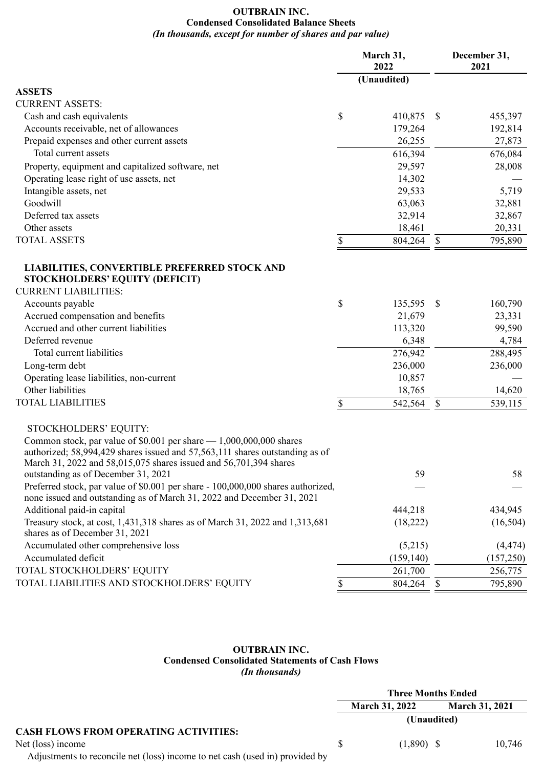## **OUTBRAIN INC. Condensed Consolidated Balance Sheets** *(In thousands, except for number of shares and par value)*

|                                                                                                                                                                                                                             | March 31,<br>2022 | December 31,<br>2021    |  |
|-----------------------------------------------------------------------------------------------------------------------------------------------------------------------------------------------------------------------------|-------------------|-------------------------|--|
|                                                                                                                                                                                                                             | (Unaudited)       |                         |  |
| <b>ASSETS</b>                                                                                                                                                                                                               |                   |                         |  |
| <b>CURRENT ASSETS:</b>                                                                                                                                                                                                      |                   |                         |  |
| Cash and cash equivalents                                                                                                                                                                                                   | \$<br>410,875     | 455,397<br>$\mathbb{S}$ |  |
| Accounts receivable, net of allowances                                                                                                                                                                                      | 179,264           | 192,814                 |  |
| Prepaid expenses and other current assets                                                                                                                                                                                   | 26,255            | 27,873                  |  |
| Total current assets                                                                                                                                                                                                        | 616,394           | 676,084                 |  |
| Property, equipment and capitalized software, net                                                                                                                                                                           | 29,597            | 28,008                  |  |
| Operating lease right of use assets, net                                                                                                                                                                                    | 14,302            |                         |  |
| Intangible assets, net                                                                                                                                                                                                      | 29,533            | 5,719                   |  |
| Goodwill                                                                                                                                                                                                                    | 63,063            | 32,881                  |  |
| Deferred tax assets                                                                                                                                                                                                         | 32,914            | 32,867                  |  |
| Other assets                                                                                                                                                                                                                | 18,461            | 20,331                  |  |
| <b>TOTAL ASSETS</b>                                                                                                                                                                                                         | \$<br>804,264     | $\mathbb{S}$<br>795,890 |  |
| <b>LIABILITIES, CONVERTIBLE PREFERRED STOCK AND</b><br><b>STOCKHOLDERS' EQUITY (DEFICIT)</b>                                                                                                                                |                   |                         |  |
| <b>CURRENT LIABILITIES:</b>                                                                                                                                                                                                 |                   |                         |  |
| Accounts payable                                                                                                                                                                                                            | \$<br>135,595     | $\mathbb{S}$<br>160,790 |  |
| Accrued compensation and benefits                                                                                                                                                                                           | 21,679            | 23,331                  |  |
| Accrued and other current liabilities                                                                                                                                                                                       | 113,320           | 99,590                  |  |
| Deferred revenue                                                                                                                                                                                                            | 6,348             | 4,784                   |  |
| Total current liabilities                                                                                                                                                                                                   | 276,942           | 288,495                 |  |
| Long-term debt                                                                                                                                                                                                              | 236,000           | 236,000                 |  |
| Operating lease liabilities, non-current                                                                                                                                                                                    | 10,857            |                         |  |
| Other liabilities                                                                                                                                                                                                           | 18,765            | 14,620                  |  |
| <b>TOTAL LIABILITIES</b>                                                                                                                                                                                                    | \$<br>542,564     | $\mathbb{S}$<br>539,115 |  |
| STOCKHOLDERS' EQUITY:                                                                                                                                                                                                       |                   |                         |  |
| Common stock, par value of $$0.001$ per share $- 1,000,000,000$ shares<br>authorized; 58,994,429 shares issued and 57,563,111 shares outstanding as of<br>March 31, 2022 and 58,015,075 shares issued and 56,701,394 shares |                   |                         |  |
| outstanding as of December 31, 2021                                                                                                                                                                                         | 59                | 58                      |  |
| Preferred stock, par value of \$0.001 per share - 100,000,000 shares authorized,<br>none issued and outstanding as of March 31, 2022 and December 31, 2021                                                                  |                   |                         |  |
| Additional paid-in capital                                                                                                                                                                                                  | 444,218           | 434,945                 |  |
| Treasury stock, at cost, 1,431,318 shares as of March 31, 2022 and 1,313,681<br>shares as of December 31, 2021                                                                                                              | (18,222)          | (16,504)                |  |
| Accumulated other comprehensive loss                                                                                                                                                                                        | (5,215)           | (4, 474)                |  |
| Accumulated deficit                                                                                                                                                                                                         | (159, 140)        | (157, 250)              |  |
| TOTAL STOCKHOLDERS' EQUITY                                                                                                                                                                                                  | 261,700           | 256,775                 |  |
| TOTAL LIABILITIES AND STOCKHOLDERS' EQUITY                                                                                                                                                                                  | 804,264<br>S      | 795,890<br>$\mathbb{S}$ |  |

## **OUTBRAIN INC. Condensed Consolidated Statements of Cash Flows** *(In thousands)*

|                                                                              | <b>Three Months Ended</b> |                       |                       |        |
|------------------------------------------------------------------------------|---------------------------|-----------------------|-----------------------|--------|
|                                                                              |                           | <b>March 31, 2022</b> | <b>March 31, 2021</b> |        |
|                                                                              | (Unaudited)               |                       |                       |        |
| <b>CASH FLOWS FROM OPERATING ACTIVITIES:</b>                                 |                           |                       |                       |        |
| Net (loss) income                                                            | S.                        | $(1,890)$ \$          |                       | 10.746 |
| Adjustments to reconcile net (loss) income to net cash (used in) provided by |                           |                       |                       |        |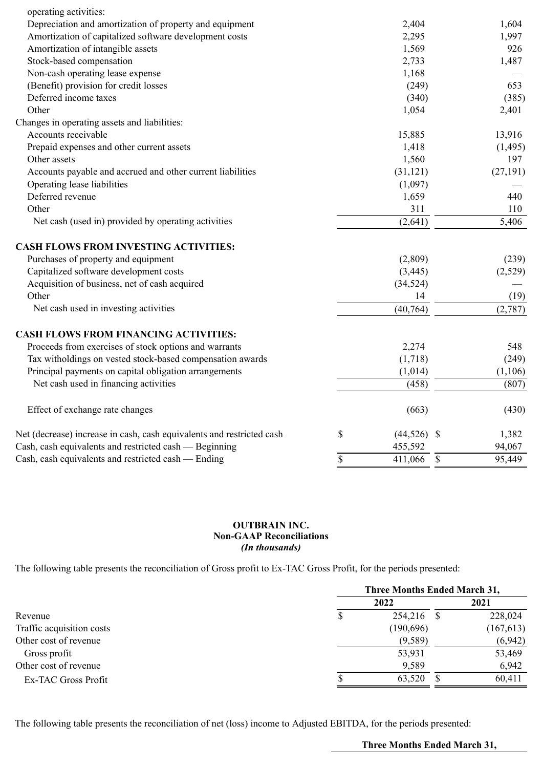| operating activities:                                                 |                     |               |           |
|-----------------------------------------------------------------------|---------------------|---------------|-----------|
| Depreciation and amortization of property and equipment               | 2,404               |               | 1,604     |
| Amortization of capitalized software development costs                | 2,295               |               | 1,997     |
| Amortization of intangible assets                                     | 1,569               |               | 926       |
| Stock-based compensation                                              | 2,733               |               | 1,487     |
| Non-cash operating lease expense                                      | 1,168               |               |           |
| (Benefit) provision for credit losses                                 | (249)               |               | 653       |
| Deferred income taxes                                                 | (340)               |               | (385)     |
| Other                                                                 | 1,054               |               | 2,401     |
| Changes in operating assets and liabilities:                          |                     |               |           |
| Accounts receivable                                                   | 15,885              |               | 13,916    |
| Prepaid expenses and other current assets                             | 1,418               |               | (1,495)   |
| Other assets                                                          | 1,560               |               | 197       |
| Accounts payable and accrued and other current liabilities            | (31, 121)           |               | (27, 191) |
| Operating lease liabilities                                           | (1,097)             |               |           |
| Deferred revenue                                                      | 1,659               |               | 440       |
| Other                                                                 | 311                 |               | 110       |
| Net cash (used in) provided by operating activities                   | (2,641)             |               | 5,406     |
| <b>CASH FLOWS FROM INVESTING ACTIVITIES:</b>                          |                     |               |           |
| Purchases of property and equipment                                   | (2,809)             |               | (239)     |
| Capitalized software development costs                                | (3, 445)            |               | (2,529)   |
| Acquisition of business, net of cash acquired                         | (34, 524)           |               |           |
| Other                                                                 | 14                  |               | (19)      |
| Net cash used in investing activities                                 | (40, 764)           |               | (2,787)   |
| <b>CASH FLOWS FROM FINANCING ACTIVITIES:</b>                          |                     |               |           |
| Proceeds from exercises of stock options and warrants                 | 2,274               |               | 548       |
| Tax witholdings on vested stock-based compensation awards             | (1,718)             |               | (249)     |
| Principal payments on capital obligation arrangements                 | (1,014)             |               | (1,106)   |
| Net cash used in financing activities                                 | (458)               |               | (807)     |
| Effect of exchange rate changes                                       | (663)               |               | (430)     |
| Net (decrease) increase in cash, cash equivalents and restricted cash | \$<br>$(44,526)$ \$ |               | 1,382     |
| Cash, cash equivalents and restricted cash — Beginning                | 455,592             |               | 94,067    |
| Cash, cash equivalents and restricted cash — Ending                   | \$<br>411,066       | $\mathcal{S}$ | 95,449    |
|                                                                       |                     |               |           |

## **OUTBRAIN INC. Non-GAAP Reconciliations** *(In thousands)*

The following table presents the reconciliation of Gross profit to Ex-TAC Gross Profit, for the periods presented:

|                           | <b>Three Months Ended March 31,</b> |           |      |           |
|---------------------------|-------------------------------------|-----------|------|-----------|
|                           |                                     | 2022      |      | 2021      |
| Revenue                   | P                                   | 254,216   | - \$ | 228,024   |
| Traffic acquisition costs |                                     | (190,696) |      | (167,613) |
| Other cost of revenue     |                                     | (9,589)   |      | (6,942)   |
| Gross profit              |                                     | 53,931    |      | 53,469    |
| Other cost of revenue     |                                     | 9,589     |      | 6,942     |
| Ex-TAC Gross Profit       |                                     | 63,520    |      | 60,411    |

The following table presents the reconciliation of net (loss) income to Adjusted EBITDA, for the periods presented:

**Three Months Ended March 31,**